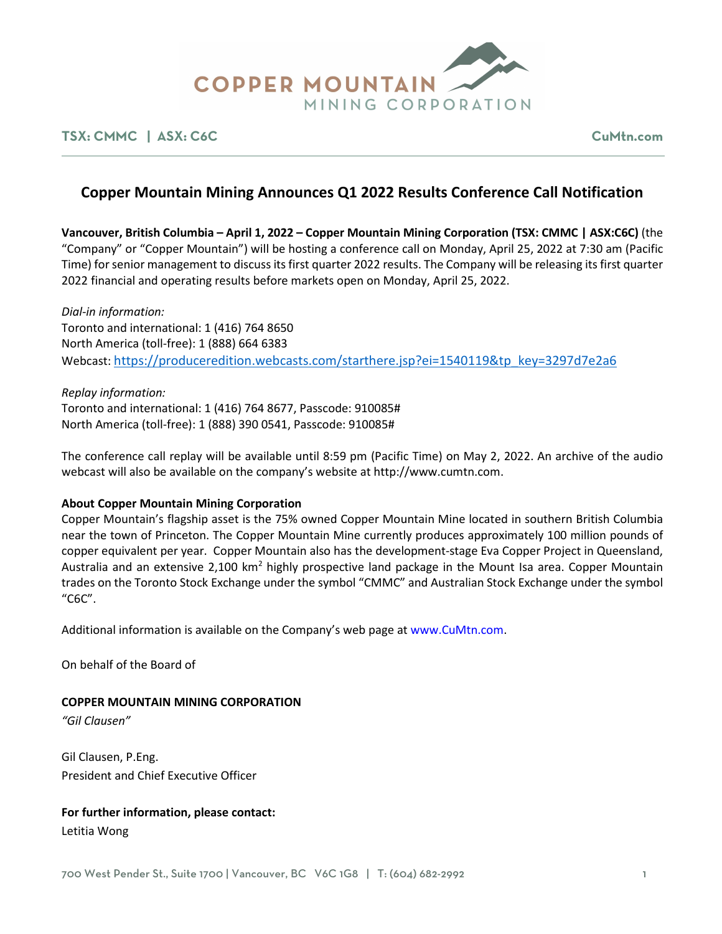

### **TSX: CMMC | ASX: C6C CuMtn.com**

# **Copper Mountain Mining Announces Q1 2022 Results Conference Call Notification**

**Vancouver, British Columbia – April 1, 2022 – Copper Mountain Mining Corporation (TSX: CMMC | ASX:C6C)** (the "Company" or "Copper Mountain") will be hosting a conference call on Monday, April 25, 2022 at 7:30 am (Pacific Time) for senior management to discuss its first quarter 2022 results. The Company will be releasing its first quarter 2022 financial and operating results before markets open on Monday, April 25, 2022.

*Dial-in information:* Toronto and international: 1 (416) 764 8650 North America (toll-free): 1 (888) 664 6383 Webcast[: https://produceredition.webcasts.com/starthere.jsp?ei=1540119&tp\\_key=3297d7e2a6](https://produceredition.webcasts.com/starthere.jsp?ei=1540119&tp_key=3297d7e2a6)

*Replay information:* Toronto and international: 1 (416) 764 8677, Passcode: 910085# North America (toll-free): 1 (888) 390 0541, Passcode: 910085#

The conference call replay will be available until 8:59 pm (Pacific Time) on May 2, 2022. An archive of the audio webcast will also be available on the company's website at http://www.cumtn.com.

### **About Copper Mountain Mining Corporation**

Copper Mountain's flagship asset is the 75% owned Copper Mountain Mine located in southern British Columbia near the town of Princeton. The Copper Mountain Mine currently produces approximately 100 million pounds of copper equivalent per year. Copper Mountain also has the development-stage Eva Copper Project in Queensland, Australia and an extensive 2,100 km<sup>2</sup> highly prospective land package in the Mount Isa area. Copper Mountain trades on the Toronto Stock Exchange under the symbol "CMMC" and Australian Stock Exchange under the symbol "C6C".

Additional information is available on the Company's web page at www.CuMtn.com.

On behalf of the Board of

### **COPPER MOUNTAIN MINING CORPORATION**

*"Gil Clausen"*

Gil Clausen, P.Eng. President and Chief Executive Officer

### **For further information, please contact:**

Letitia Wong